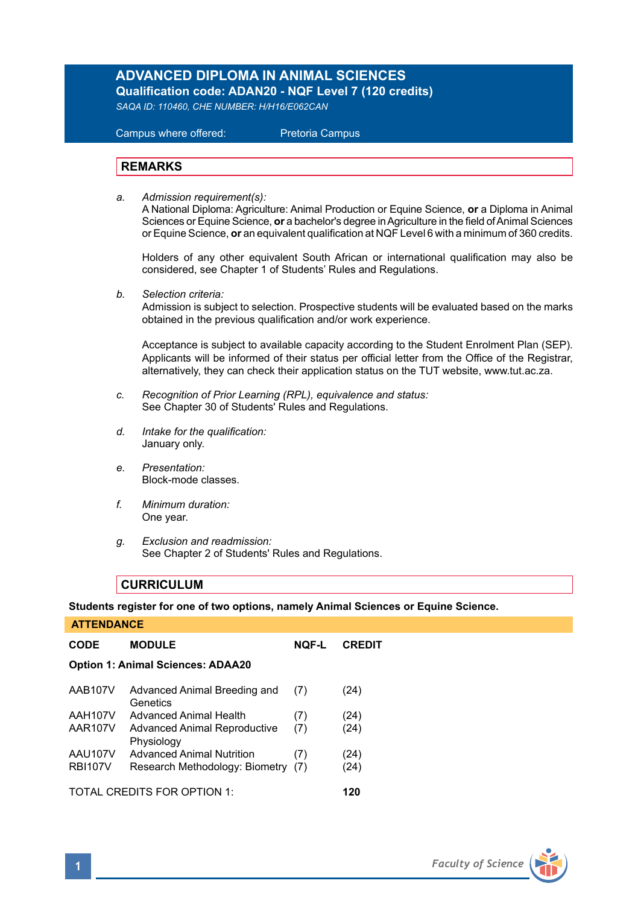# **ADVANCED DIPLOMA IN ANIMAL SCIENCES**

**Qualification code: ADAN20 - NQF Level 7 (120 credits)** 

*SAQA ID: 110460, CHE NUMBER: H/H16/E062CAN* 

# Campus where offered: Pretoria Campus

# **REMARKS**

*a. Admission requirement(s):* 

A National Diploma: Agriculture: Animal Production or Equine Science, **or** a Diploma in Animal Sciences or Equine Science, or a bachelor's degree in Agriculture in the field of Animal Sciences or Equine Science, **or** an equivalent qualification at NQF Level 6 with a minimum of 360 credits.

Holders of any other equivalent South African or international qualification may also be considered, see Chapter 1 of Students' Rules and Regulations.

*b. Selection criteria:*

Admission is subject to selection. Prospective students will be evaluated based on the marks obtained in the previous qualification and/or work experience.

Acceptance is subject to available capacity according to the Student Enrolment Plan (SEP). Applicants will be informed of their status per official letter from the Office of the Registrar, alternatively, they can check their application status on the TUT website, www.tut.ac.za.

- *c. Recognition of Prior Learning (RPL), equivalence and status:* See Chapter 30 of Students' Rules and Regulations.
- *d. Intake for the qualification:* January only.
- *e. Presentation:* Block-mode classes.
- *f. Minimum duration:* One year.
- *g. Exclusion and readmission:* See Chapter 2 of Students' Rules and Regulations.

# **CURRICULUM**

**Students register for one of two options, namely Animal Sciences or Equine Science.**

| <b>ATTENDANCE</b>                        |                                                   |              |               |  |  |
|------------------------------------------|---------------------------------------------------|--------------|---------------|--|--|
| <b>CODE</b>                              | <b>MODULE</b>                                     | <b>NOF-L</b> | <b>CREDIT</b> |  |  |
| <b>Option 1: Animal Sciences: ADAA20</b> |                                                   |              |               |  |  |
| <b>AAB107V</b>                           | Advanced Animal Breeding and<br>Genetics          | (7)          | (24)          |  |  |
| <b>AAH107V</b>                           | Advanced Animal Health                            | (7)          | (24)          |  |  |
| <b>AAR107V</b>                           | <b>Advanced Animal Reproductive</b><br>Physiology | (7)          | (24)          |  |  |
| AAU107V                                  | <b>Advanced Animal Nutrition</b>                  | (7)          | (24)          |  |  |
| <b>RBI107V</b>                           | Research Methodology: Biometry                    | (7)          | (24)          |  |  |
| TOTAL CREDITS FOR OPTION 1:<br>120       |                                                   |              |               |  |  |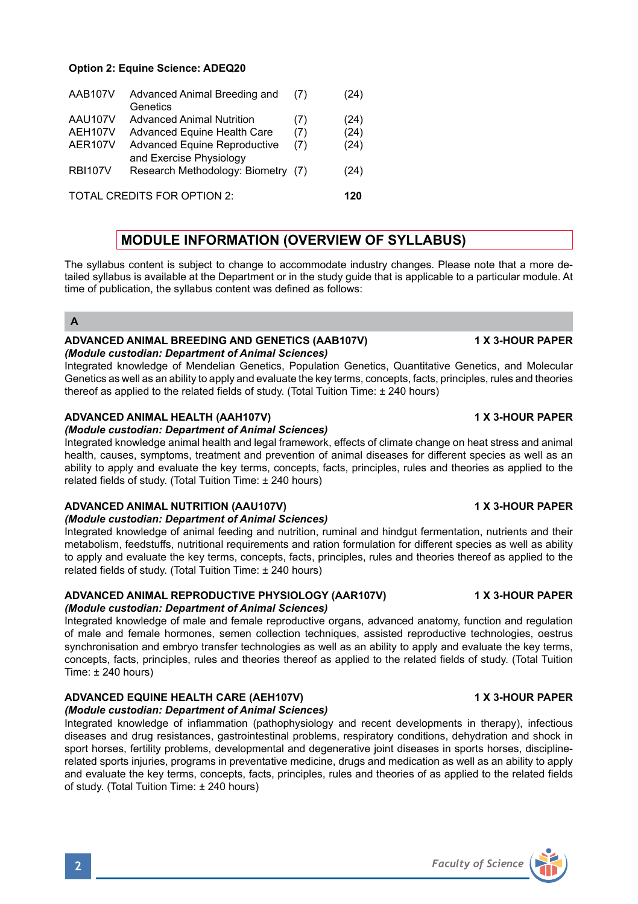# **Option 2: Equine Science: ADEQ20**

| AAB107V                    | Advanced Animal Breeding and<br>Genetics                       | (7) | (24) |
|----------------------------|----------------------------------------------------------------|-----|------|
| AAU107V                    | <b>Advanced Animal Nutrition</b>                               | (7) | (24) |
| AEH107V                    | Advanced Equine Health Care                                    | (7) | (24) |
| AER107V                    | <b>Advanced Equine Reproductive</b><br>and Exercise Physiology | (7) | (24) |
| <b>RBI107V</b>             | Research Methodology: Biometry (7)                             |     | (24) |
| TOTAL CREDITS FOR OPTION 2 |                                                                |     |      |

# **MODULE INFORMATION (OVERVIEW OF SYLLABUS)**

The syllabus content is subject to change to accommodate industry changes. Please note that a more detailed syllabus is available at the Department or in the study guide that is applicable to a particular module. At time of publication, the syllabus content was defined as follows:

# **A**

## **ADVANCED ANIMAL BREEDING AND GENETICS (AAB107V) 1 X 3-HOUR PAPER** *(Module custodian: Department of Animal Sciences)*

Integrated knowledge of Mendelian Genetics, Population Genetics, Quantitative Genetics, and Molecular Genetics as well as an ability to apply and evaluate the key terms, concepts, facts, principles, rules and theories thereof as applied to the related fields of study. (Total Tuition Time: ± 240 hours)

# **ADVANCED ANIMAL HEALTH (AAH107V) 1 X 3-HOUR PAPER**

*(Module custodian: Department of Animal Sciences)*

Integrated knowledge animal health and legal framework, effects of climate change on heat stress and animal health, causes, symptoms, treatment and prevention of animal diseases for different species as well as an ability to apply and evaluate the key terms, concepts, facts, principles, rules and theories as applied to the related fields of study. (Total Tuition Time: ± 240 hours)

# **ADVANCED ANIMAL NUTRITION (AAU107V) 1 X 3-HOUR PAPER**

# *(Module custodian: Department of Animal Sciences)*

Integrated knowledge of animal feeding and nutrition, ruminal and hindgut fermentation, nutrients and their metabolism, feedstuffs, nutritional requirements and ration formulation for different species as well as ability to apply and evaluate the key terms, concepts, facts, principles, rules and theories thereof as applied to the related fields of study. (Total Tuition Time: ± 240 hours)

# **ADVANCED ANIMAL REPRODUCTIVE PHYSIOLOGY (AAR107V) 1 X 3-HOUR PAPER**

# *(Module custodian: Department of Animal Sciences)*

Integrated knowledge of male and female reproductive organs, advanced anatomy, function and regulation of male and female hormones, semen collection techniques, assisted reproductive technologies, oestrus synchronisation and embryo transfer technologies as well as an ability to apply and evaluate the key terms, concepts, facts, principles, rules and theories thereof as applied to the related fields of study. (Total Tuition Time: ± 240 hours)

# **ADVANCED EQUINE HEALTH CARE (AEH107V) 1 X 3-HOUR PAPER**

### *(Module custodian: Department of Animal Sciences)* Integrated knowledge of inflammation (pathophysiology and recent developments in therapy), infectious diseases and drug resistances, gastrointestinal problems, respiratory conditions, dehydration and shock in sport horses, fertility problems, developmental and degenerative joint diseases in sports horses, disciplinerelated sports injuries, programs in preventative medicine, drugs and medication as well as an ability to apply and evaluate the key terms, concepts, facts, principles, rules and theories of as applied to the related fields of study. (Total Tuition Time: ± 240 hours)